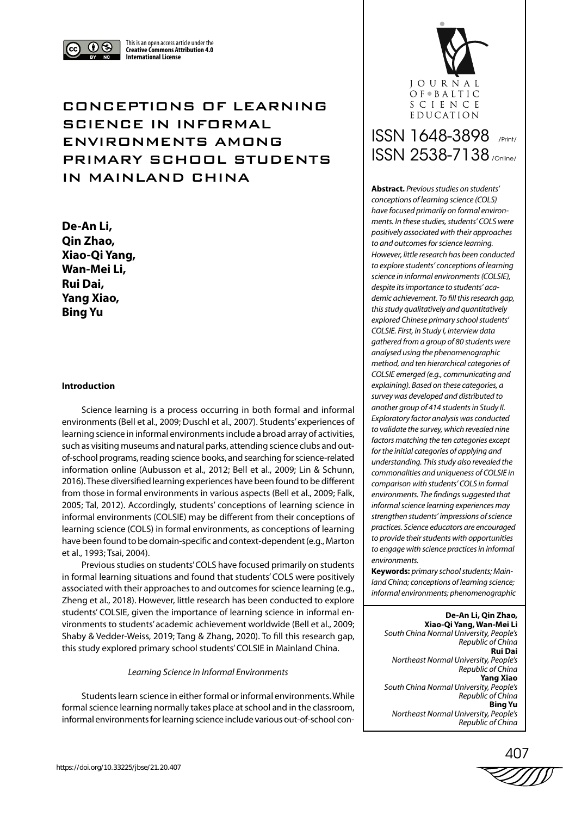

This is an open access article under the **Creative Commons Attribution 4.0 International License**

# CONCEPTIONS OF LEARNING SCIENCE IN INFORMAL ENVIRONMENTS AMONG PRIMARY SCHOOL STUDENTS IN MAINLAND CHINA

**De-An Li, Qin Zhao, Xiao-Qi Yang, Wan-Mei Li, Rui Dai, Yang Xiao, Bing Yu**

# **Introduction**

Science learning is a process occurring in both formal and informal environments (Bell et al., 2009; Duschl et al., 2007). Students' experiences of learning science in informal environments include a broad array of activities, such as visiting museums and natural parks, attending science clubs and outof-school programs, reading science books, and searching for science-related information online (Aubusson et al., 2012; Bell et al., 2009; Lin & Schunn, 2016). These diversified learning experiences have been found to be different from those in formal environments in various aspects (Bell et al., 2009; Falk, 2005; Tal, 2012). Accordingly, students' conceptions of learning science in informal environments (COLSIE) may be different from their conceptions of learning science (COLS) in formal environments, as conceptions of learning have been found to be domain-specific and context-dependent (e.g., Marton et al., 1993; Tsai, 2004).

Previous studies on students' COLS have focused primarily on students in formal learning situations and found that students' COLS were positively associated with their approaches to and outcomes for science learning (e.g., Zheng et al., 2018). However, little research has been conducted to explore students' COLSIE, given the importance of learning science in informal environments to students' academic achievement worldwide (Bell et al., 2009; Shaby & Vedder-Weiss, 2019; Tang & Zhang, 2020). To fill this research gap, this study explored primary school students' COLSIE in Mainland China.

## *Learning Science in Informal Environments*

Students learn science in either formal or informal environments. While formal science learning normally takes place at school and in the classroom, informal environments for learning science include various out-of-school con-



# ISSN 1648-3898 /Print/ ISSN 2538-7138 /Online/

**Abstract.** *Previous studies on students' conceptions of learning science (COLS) have focused primarily on formal environments. In these studies, students' COLS were positively associated with their approaches to and outcomes for science learning. However, little research has been conducted to explore students' conceptions of learning science in informal environments (COLSIE), despite its importance to students' academic achievement. To fill this research gap, this study qualitatively and quantitatively explored Chinese primary school students' COLSIE. First, in Study I, interview data gathered from a group of 80 students were analysed using the phenomenographic method, and ten hierarchical categories of COLSIE emerged (e.g., communicating and explaining). Based on these categories, a survey was developed and distributed to another group of 414 students in Study II. Exploratory factor analysis was conducted to validate the survey, which revealed nine factors matching the ten categories except for the initial categories of applying and understanding. This study also revealed the commonalities and uniqueness of COLSIE in comparison with students' COLS in formal environments. The findings suggested that informal science learning experiences may strengthen students' impressions of science practices. Science educators are encouraged to provide their students with opportunities to engage with science practices in informal environments.*

**Keywords:** *primary school students; Mainland China; conceptions of learning science; informal environments; phenomenographic*

**De-An Li, Qin Zhao, Xiao-Qi Yang, Wan-Mei Li** *South China Normal University, People's Republic of China* **Rui Dai** *Northeast Normal University, People's Republic of China* **Yang Xiao** *South China Normal University, People's Republic of China* **Bing Yu** *Northeast Normal University, People's Republic of China*

407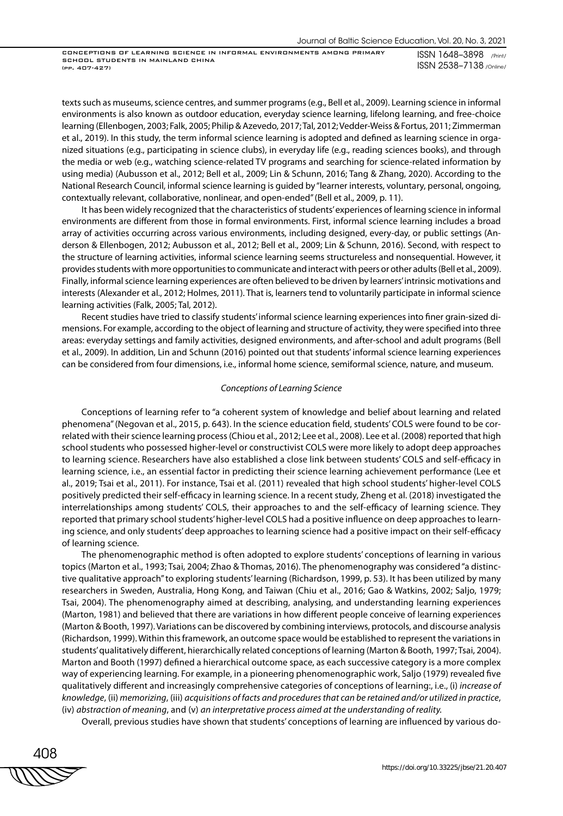CONCEPTIONS OF LEARNING SCIENCE IN INFORMAL ENVIRONMENTS AMONG PRIMARY SCHOOL STUDENTS IN MAINLAND CHINA (pp. 407-427)

ISSN 1648–3898 /Print/ ISSN 2538–7138 /Online/

texts such as museums, science centres, and summer programs (e.g., Bell et al., 2009). Learning science in informal environments is also known as outdoor education, everyday science learning, lifelong learning, and free-choice learning (Ellenbogen, 2003; Falk, 2005; Philip & Azevedo, 2017; Tal, 2012; Vedder-Weiss & Fortus, 2011; Zimmerman et al., 2019). In this study, the term informal science learning is adopted and defined as learning science in organized situations (e.g., participating in science clubs), in everyday life (e.g., reading sciences books), and through the media or web (e.g., watching science-related TV programs and searching for science-related information by using media) (Aubusson et al., 2012; Bell et al., 2009; Lin & Schunn, 2016; Tang & Zhang, 2020). According to the National Research Council, informal science learning is guided by "learner interests, voluntary, personal, ongoing, contextually relevant, collaborative, nonlinear, and open-ended" (Bell et al., 2009, p. 11).

It has been widely recognized that the characteristics of students' experiences of learning science in informal environments are different from those in formal environments. First, informal science learning includes a broad array of activities occurring across various environments, including designed, every-day, or public settings (Anderson & Ellenbogen, 2012; Aubusson et al., 2012; Bell et al., 2009; Lin & Schunn, 2016). Second, with respect to the structure of learning activities, informal science learning seems structureless and nonsequential. However, it provides students with more opportunities to communicate and interact with peers or other adults (Bell et al., 2009). Finally, informal science learning experiences are often believed to be driven by learners' intrinsic motivations and interests (Alexander et al., 2012; Holmes, 2011). That is, learners tend to voluntarily participate in informal science learning activities (Falk, 2005; Tal, 2012).

Recent studies have tried to classify students' informal science learning experiences into finer grain-sized dimensions. For example, according to the object of learning and structure of activity, they were specified into three areas: everyday settings and family activities, designed environments, and after-school and adult programs (Bell et al., 2009). In addition, Lin and Schunn (2016) pointed out that students' informal science learning experiences can be considered from four dimensions, i.e., informal home science, semiformal science, nature, and museum.

#### *Conceptions of Learning Science*

Conceptions of learning refer to "a coherent system of knowledge and belief about learning and related phenomena" (Negovan et al., 2015, p. 643). In the science education field, students' COLS were found to be correlated with their science learning process (Chiou et al., 2012; Lee et al., 2008). Lee et al. (2008) reported that high school students who possessed higher-level or constructivist COLS were more likely to adopt deep approaches to learning science. Researchers have also established a close link between students' COLS and self-efficacy in learning science, i.e., an essential factor in predicting their science learning achievement performance (Lee et al., 2019; Tsai et al., 2011). For instance, Tsai et al. (2011) revealed that high school students' higher-level COLS positively predicted their self-efficacy in learning science. In a recent study, Zheng et al. (2018) investigated the interrelationships among students' COLS, their approaches to and the self-efficacy of learning science. They reported that primary school students' higher-level COLS had a positive influence on deep approaches to learning science, and only students' deep approaches to learning science had a positive impact on their self-efficacy of learning science.

The phenomenographic method is often adopted to explore students' conceptions of learning in various topics (Marton et al., 1993; Tsai, 2004; Zhao & Thomas, 2016). The phenomenography was considered "a distinctive qualitative approach" to exploring students' learning (Richardson, 1999, p. 53). It has been utilized by many researchers in Sweden, Australia, Hong Kong, and Taiwan (Chiu et al., 2016; Gao & Watkins, 2002; Saljo, 1979; Tsai, 2004). The phenomenography aimed at describing, analysing, and understanding learning experiences (Marton, 1981) and believed that there are variations in how different people conceive of learning experiences (Marton & Booth, 1997). Variations can be discovered by combining interviews, protocols, and discourse analysis (Richardson, 1999). Within this framework, an outcome space would be established to represent the variations in students' qualitatively different, hierarchically related conceptions of learning (Marton & Booth, 1997; Tsai, 2004). Marton and Booth (1997) defined a hierarchical outcome space, as each successive category is a more complex way of experiencing learning. For example, in a pioneering phenomenographic work, Saljo (1979) revealed five qualitatively different and increasingly comprehensive categories of conceptions of learning:, i.e., (i) *increase of knowledge*, (ii) *memorizing*, (iii) *acquisitions of facts and procedures that can be retained and/or utilized in practice*, (iv) *abstraction of meaning*, and (v) *an interpretative process aimed at the understanding of reality.*

Overall, previous studies have shown that students' conceptions of learning are influenced by various do-

408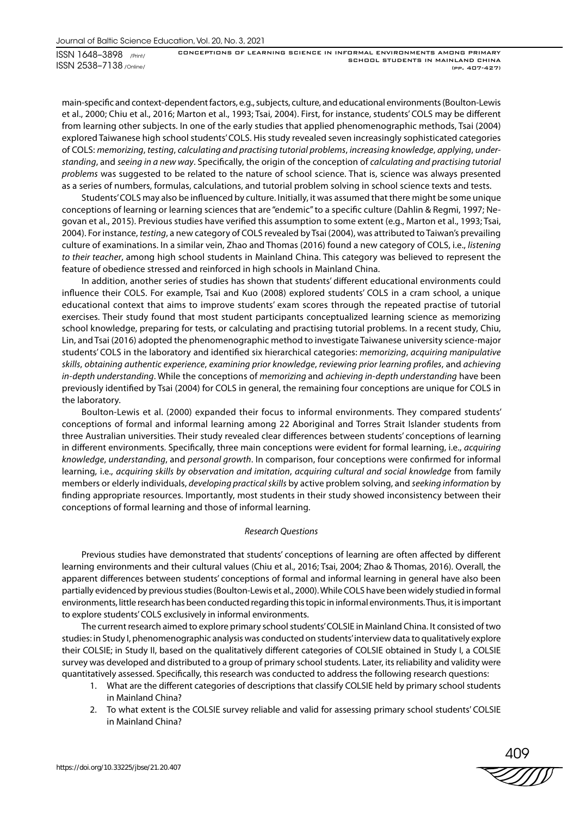main-specific and context-dependent factors, e.g., subjects, culture, and educational environments (Boulton-Lewis et al., 2000; Chiu et al., 2016; Marton et al., 1993; Tsai, 2004). First, for instance, students' COLS may be different from learning other subjects. In one of the early studies that applied phenomenographic methods, Tsai (2004) explored Taiwanese high school students' COLS. His study revealed seven increasingly sophisticated categories of COLS: *memorizing*, *testing*, *calculating and practising tutorial problems*, *increasing knowledge*, *applying*, *understanding*, and *seeing in a new way*. Specifically, the origin of the conception of *calculating and practising tutorial problems* was suggested to be related to the nature of school science. That is, science was always presented as a series of numbers, formulas, calculations, and tutorial problem solving in school science texts and tests.

Students' COLS may also be influenced by culture. Initially, it was assumed that there might be some unique conceptions of learning or learning sciences that are "endemic" to a specific culture (Dahlin & Regmi, 1997; Negovan et al., 2015). Previous studies have verified this assumption to some extent (e.g., Marton et al., 1993; Tsai, 2004). For instance, *testing*, a new category of COLS revealed by Tsai (2004), was attributed to Taiwan's prevailing culture of examinations. In a similar vein, Zhao and Thomas (2016) found a new category of COLS, i.e., *listening to their teacher*, among high school students in Mainland China. This category was believed to represent the feature of obedience stressed and reinforced in high schools in Mainland China.

In addition, another series of studies has shown that students' different educational environments could influence their COLS. For example, Tsai and Kuo (2008) explored students' COLS in a cram school, a unique educational context that aims to improve students' exam scores through the repeated practise of tutorial exercises. Their study found that most student participants conceptualized learning science as memorizing school knowledge, preparing for tests, or calculating and practising tutorial problems. In a recent study, Chiu, Lin, and Tsai (2016) adopted the phenomenographic method to investigate Taiwanese university science-major students' COLS in the laboratory and identified six hierarchical categories: *memorizing*, *acquiring manipulative skills*, *obtaining authentic experience*, *examining prior knowledge*, *reviewing prior learning profiles*, and *achieving in-depth understanding*. While the conceptions of *memorizing* and *achieving in-depth understanding* have been previously identified by Tsai (2004) for COLS in general, the remaining four conceptions are unique for COLS in the laboratory.

Boulton-Lewis et al. (2000) expanded their focus to informal environments. They compared students' conceptions of formal and informal learning among 22 Aboriginal and Torres Strait Islander students from three Australian universities. Their study revealed clear differences between students' conceptions of learning in different environments. Specifically, three main conceptions were evident for formal learning, i.e., *acquiring knowledge*, *understanding*, and *personal growth*. In comparison, four conceptions were confirmed for informal learning, i.e., *acquiring skills by observation and imitation*, *acquiring cultural and social knowledge* from family members or elderly individuals, *developing practical skills* by active problem solving, and *seeking information* by finding appropriate resources. Importantly, most students in their study showed inconsistency between their conceptions of formal learning and those of informal learning.

# *Research Questions*

Previous studies have demonstrated that students' conceptions of learning are often affected by different learning environments and their cultural values (Chiu et al., 2016; Tsai, 2004; Zhao & Thomas, 2016). Overall, the apparent differences between students' conceptions of formal and informal learning in general have also been partially evidenced by previous studies (Boulton-Lewis et al., 2000). While COLS have been widely studied in formal environments, little research has been conducted regarding this topic in informal environments. Thus, it is important to explore students' COLS exclusively in informal environments.

The current research aimed to explore primary school students' COLSIE in Mainland China. It consisted of two studies: in Study I, phenomenographic analysis was conducted on students' interview data to qualitatively explore their COLSIE; in Study II, based on the qualitatively different categories of COLSIE obtained in Study I, a COLSIE survey was developed and distributed to a group of primary school students. Later, its reliability and validity were quantitatively assessed. Specifically, this research was conducted to address the following research questions:

- 1. What are the different categories of descriptions that classify COLSIE held by primary school students in Mainland China?
- 2. To what extent is the COLSIE survey reliable and valid for assessing primary school students' COLSIE in Mainland China?

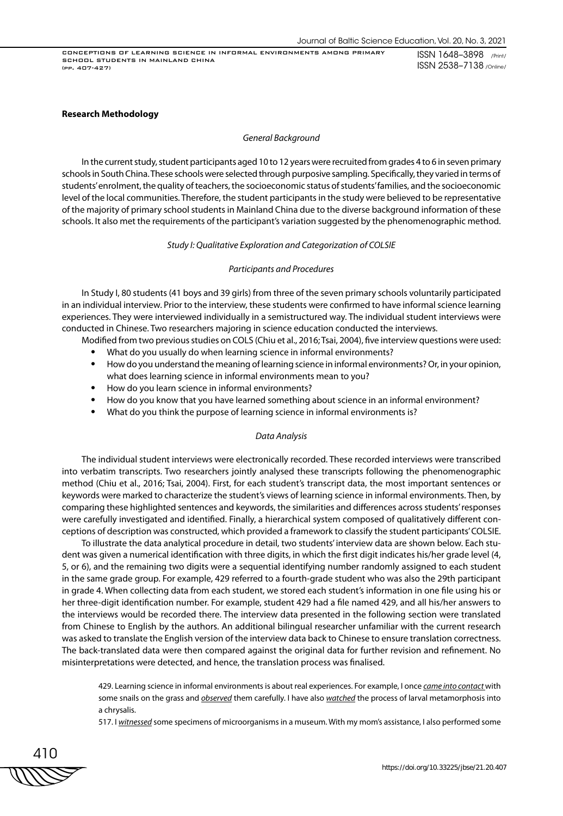CONCEPTIONS OF LEARNING SCIENCE IN INFORMAL ENVIRONMENTS AMONG PRIMARY SCHOOL STUDENTS IN MAINLAND CHINA (pp. 407-427)

ISSN 1648–3898 /Print/ ISSN 2538–7138 /Online/

### **Research Methodology**

#### *General Background*

In the current study, student participants aged 10 to 12 years were recruited from grades 4 to 6 in seven primary schools in South China. These schools were selected through purposive sampling. Specifically, they varied in terms of students' enrolment, the quality of teachers, the socioeconomic status of students' families, and the socioeconomic level of the local communities. Therefore, the student participants in the study were believed to be representative of the majority of primary school students in Mainland China due to the diverse background information of these schools. It also met the requirements of the participant's variation suggested by the phenomenographic method.

# *Study І: Qualitative Exploration and Categorization of COLSIE*

# *Participants and Procedures*

In Study I, 80 students (41 boys and 39 girls) from three of the seven primary schools voluntarily participated in an individual interview. Prior to the interview, these students were confirmed to have informal science learning experiences. They were interviewed individually in a semistructured way. The individual student interviews were conducted in Chinese. Two researchers majoring in science education conducted the interviews.

- Modified from two previous studies on COLS (Chiu et al., 2016; Tsai, 2004), five interview questions were used: • What do you usually do when learning science in informal environments?
	- How do you understand the meaning of learning science in informal environments? Or, in your opinion, what does learning science in informal environments mean to you?
	- How do you learn science in informal environments?
	- How do you know that you have learned something about science in an informal environment?
	- What do you think the purpose of learning science in informal environments is?

# *Data Analysis*

The individual student interviews were electronically recorded. These recorded interviews were transcribed into verbatim transcripts. Two researchers jointly analysed these transcripts following the phenomenographic method (Chiu et al., 2016; Tsai, 2004). First, for each student's transcript data, the most important sentences or keywords were marked to characterize the student's views of learning science in informal environments. Then, by comparing these highlighted sentences and keywords, the similarities and differences across students' responses were carefully investigated and identified. Finally, a hierarchical system composed of qualitatively different conceptions of description was constructed, which provided a framework to classify the student participants' COLSIE.

To illustrate the data analytical procedure in detail, two students' interview data are shown below. Each student was given a numerical identification with three digits, in which the first digit indicates his/her grade level (4, 5, or 6), and the remaining two digits were a sequential identifying number randomly assigned to each student in the same grade group. For example, 429 referred to a fourth-grade student who was also the 29th participant in grade 4. When collecting data from each student, we stored each student's information in one file using his or her three-digit identification number. For example, student 429 had a file named 429, and all his/her answers to the interviews would be recorded there. The interview data presented in the following section were translated from Chinese to English by the authors. An additional bilingual researcher unfamiliar with the current research was asked to translate the English version of the interview data back to Chinese to ensure translation correctness. The back-translated data were then compared against the original data for further revision and refinement. No misinterpretations were detected, and hence, the translation process was finalised.

429. Learning science in informal environments is about real experiences. For example, I once *came into contact* with some snails on the grass and *observed* them carefully. I have also *watched* the process of larval metamorphosis into a chrysalis.

517. I *witnessed* some specimens of microorganisms in a museum. With my mom's assistance, I also performed some

410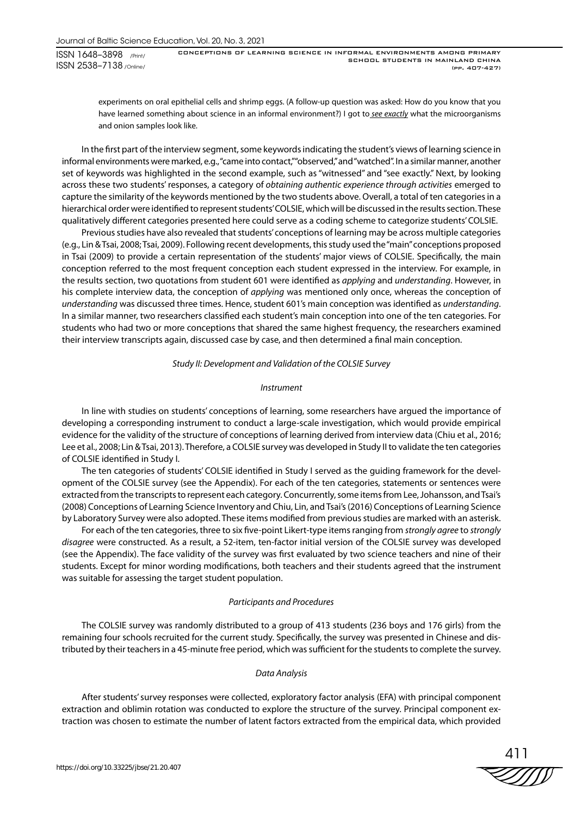CONCEPTIONS OF LEARNING SCIENCE IN INFORMAL ENVIRONMENTS AMONG PRIMARY SCHOOL STUDENTS IN MAINLAND CHINA (pp. 407-427)

experiments on oral epithelial cells and shrimp eggs. (A follow-up question was asked: How do you know that you have learned something about science in an informal environment?) I got to *see exactly* what the microorganisms and onion samples look like.

In the first part of the interview segment, some keywords indicating the student's views of learning science in informal environments were marked, e.g., "came into contact," "observed," and "watched". In a similar manner, another set of keywords was highlighted in the second example, such as "witnessed" and "see exactly." Next, by looking across these two students' responses, a category of *obtaining authentic experience through activities* emerged to capture the similarity of the keywords mentioned by the two students above. Overall, a total of ten categories in a hierarchical order were identified to represent students' COLSIE, which will be discussed in the results section. These qualitatively different categories presented here could serve as a coding scheme to categorize students' COLSIE.

Previous studies have also revealed that students' conceptions of learning may be across multiple categories (e.g., Lin & Tsai, 2008; Tsai, 2009). Following recent developments, this study used the "main" conceptions proposed in Tsai (2009) to provide a certain representation of the students' major views of COLSIE. Specifically, the main conception referred to the most frequent conception each student expressed in the interview. For example, in the results section, two quotations from student 601 were identified as *applying* and *understanding*. However, in his complete interview data, the conception of *applying* was mentioned only once, whereas the conception of *understanding* was discussed three times. Hence, student 601's main conception was identified as *understanding*. In a similar manner, two researchers classified each student's main conception into one of the ten categories. For students who had two or more conceptions that shared the same highest frequency, the researchers examined their interview transcripts again, discussed case by case, and then determined a final main conception.

### *Study IІ: Development and Validation of the COLSIE Survey*

# *Instrument*

In line with studies on students' conceptions of learning, some researchers have argued the importance of developing a corresponding instrument to conduct a large-scale investigation, which would provide empirical evidence for the validity of the structure of conceptions of learning derived from interview data (Chiu et al., 2016; Lee et al., 2008; Lin & Tsai, 2013). Therefore, a COLSIE survey was developed in Study II to validate the ten categories of COLSIE identified in Study I.

The ten categories of students' COLSIE identified in Study I served as the guiding framework for the development of the COLSIE survey (see the Appendix). For each of the ten categories, statements or sentences were extracted from the transcripts to represent each category. Concurrently, some items from Lee, Johansson, and Tsai's (2008) Conceptions of Learning Science Inventory and Chiu, Lin, and Tsai's (2016) Conceptions of Learning Science by Laboratory Survey were also adopted. These items modified from previous studies are marked with an asterisk.

For each of the ten categories, three to six five-point Likert-type items ranging from *strongly agree* to *strongly disagree* were constructed. As a result, a 52-item, ten-factor initial version of the COLSIE survey was developed (see the Appendix). The face validity of the survey was first evaluated by two science teachers and nine of their students. Except for minor wording modifications, both teachers and their students agreed that the instrument was suitable for assessing the target student population.

# *Participants and Procedures*

The COLSIE survey was randomly distributed to a group of 413 students (236 boys and 176 girls) from the remaining four schools recruited for the current study. Specifically, the survey was presented in Chinese and distributed by their teachers in a 45-minute free period, which was sufficient for the students to complete the survey.

# *Data Analysis*

After students' survey responses were collected, exploratory factor analysis (EFA) with principal component extraction and oblimin rotation was conducted to explore the structure of the survey. Principal component extraction was chosen to estimate the number of latent factors extracted from the empirical data, which provided

411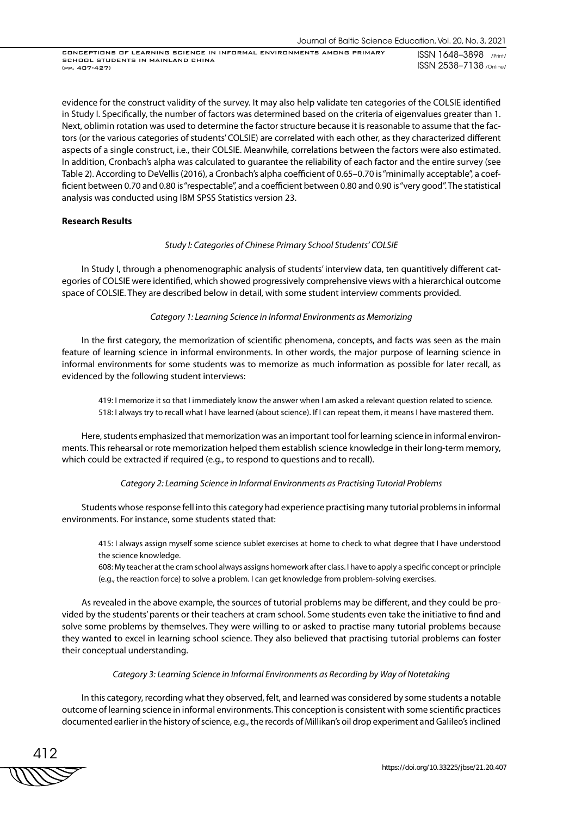evidence for the construct validity of the survey. It may also help validate ten categories of the COLSIE identified in Study I. Specifically, the number of factors was determined based on the criteria of eigenvalues greater than 1. Next, oblimin rotation was used to determine the factor structure because it is reasonable to assume that the factors (or the various categories of students' COLSIE) are correlated with each other, as they characterized different aspects of a single construct, i.e., their COLSIE. Meanwhile, correlations between the factors were also estimated. In addition, Cronbach's alpha was calculated to guarantee the reliability of each factor and the entire survey (see Table 2). According to DeVellis (2016), a Cronbach's alpha coefficient of 0.65–0.70 is "minimally acceptable", a coefficient between 0.70 and 0.80 is "respectable", and a coefficient between 0.80 and 0.90 is "very good". The statistical analysis was conducted using IBM SPSS Statistics version 23.

# **Research Results**

# *Study I: Categories of Chinese Primary School Students' COLSIE*

In Study I, through a phenomenographic analysis of students' interview data, ten quantitively different categories of COLSIE were identified, which showed progressively comprehensive views with a hierarchical outcome space of COLSIE. They are described below in detail, with some student interview comments provided.

### *Category 1: Learning Science in Informal Environments as Memorizing*

In the first category, the memorization of scientific phenomena, concepts, and facts was seen as the main feature of learning science in informal environments. In other words, the major purpose of learning science in informal environments for some students was to memorize as much information as possible for later recall, as evidenced by the following student interviews:

419: I memorize it so that I immediately know the answer when I am asked a relevant question related to science. 518: I always try to recall what I have learned (about science). If I can repeat them, it means I have mastered them.

Here, students emphasized that memorization was an important tool for learning science in informal environments. This rehearsal or rote memorization helped them establish science knowledge in their long-term memory, which could be extracted if required (e.g., to respond to questions and to recall).

# *Category 2: Learning Science in Informal Environments as Practising Tutorial Problems*

Students whose response fell into this category had experience practising many tutorial problems in informal environments. For instance, some students stated that:

415: I always assign myself some science sublet exercises at home to check to what degree that I have understood the science knowledge.

608: My teacher at the cram school always assigns homework after class. I have to apply a specific concept or principle (e.g., the reaction force) to solve a problem. I can get knowledge from problem-solving exercises.

As revealed in the above example, the sources of tutorial problems may be different, and they could be provided by the students' parents or their teachers at cram school. Some students even take the initiative to find and solve some problems by themselves. They were willing to or asked to practise many tutorial problems because they wanted to excel in learning school science. They also believed that practising tutorial problems can foster their conceptual understanding.

# *Category 3: Learning Science in Informal Environments as Recording by Way of Notetaking*

In this category, recording what they observed, felt, and learned was considered by some students a notable outcome of learning science in informal environments. This conception is consistent with some scientific practices documented earlier in the history of science, e.g., the records of Millikan's oil drop experiment and Galileo's inclined

412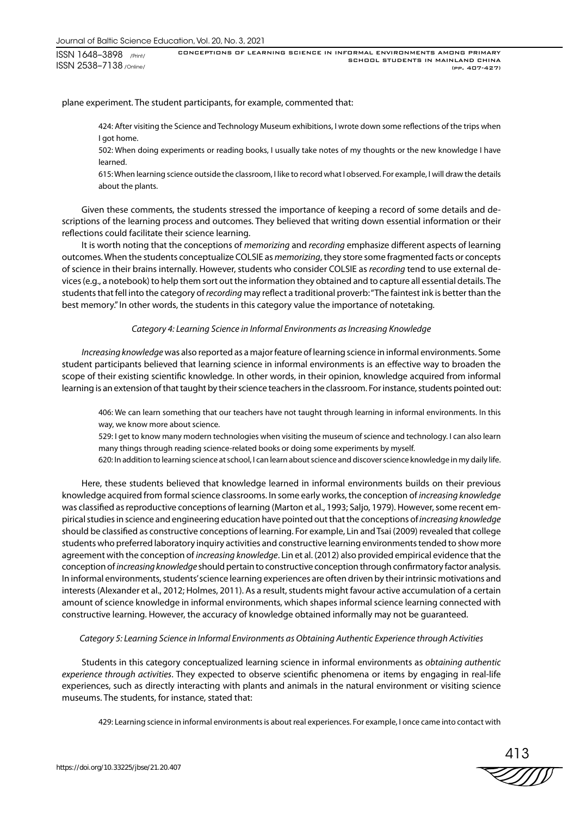plane experiment. The student participants, for example, commented that:

424: After visiting the Science and Technology Museum exhibitions, I wrote down some reflections of the trips when I got home.

502: When doing experiments or reading books, I usually take notes of my thoughts or the new knowledge I have learned.

615: When learning science outside the classroom, I like to record what I observed. For example, I will draw the details about the plants.

Given these comments, the students stressed the importance of keeping a record of some details and descriptions of the learning process and outcomes. They believed that writing down essential information or their reflections could facilitate their science learning.

It is worth noting that the conceptions of *memorizing* and *recording* emphasize different aspects of learning outcomes. When the students conceptualize COLSIE as *memorizing*, they store some fragmented facts or concepts of science in their brains internally. However, students who consider COLSIE as *recording* tend to use external devices (e.g., a notebook) to help them sort out the information they obtained and to capture all essential details. The students that fell into the category of *recording* may reflect a traditional proverb: "The faintest ink is better than the best memory." In other words, the students in this category value the importance of notetaking.

# *Category 4: Learning Science in Informal Environments as Increasing Knowledge*

*Increasing knowledge* was also reported as a major feature of learning science in informal environments. Some student participants believed that learning science in informal environments is an effective way to broaden the scope of their existing scientific knowledge. In other words, in their opinion, knowledge acquired from informal learning is an extension of that taught by their science teachers in the classroom. For instance, students pointed out:

406: We can learn something that our teachers have not taught through learning in informal environments. In this way, we know more about science.

529: I get to know many modern technologies when visiting the museum of science and technology. I can also learn many things through reading science-related books or doing some experiments by myself.

620: In addition to learning science at school, I can learn about science and discover science knowledge in my daily life.

Here, these students believed that knowledge learned in informal environments builds on their previous knowledge acquired from formal science classrooms. In some early works, the conception of *increasing knowledge* was classified as reproductive conceptions of learning (Marton et al., 1993; Saljo, 1979). However, some recent empirical studies in science and engineering education have pointed out that the conceptions of *increasing knowledge* should be classified as constructive conceptions of learning. For example, Lin and Tsai (2009) revealed that college students who preferred laboratory inquiry activities and constructive learning environments tended to show more agreement with the conception of *increasing knowledge*. Lin et al. (2012) also provided empirical evidence that the conception of *increasing knowledge* should pertain to constructive conception through confirmatory factor analysis. In informal environments, students' science learning experiences are often driven by their intrinsic motivations and interests (Alexander et al., 2012; Holmes, 2011). As a result, students might favour active accumulation of a certain amount of science knowledge in informal environments, which shapes informal science learning connected with constructive learning. However, the accuracy of knowledge obtained informally may not be guaranteed.

# *Category 5: Learning Science in Informal Environments as Obtaining Authentic Experience through Activities*

Students in this category conceptualized learning science in informal environments as *obtaining authentic experience through activities*. They expected to observe scientific phenomena or items by engaging in real-life experiences, such as directly interacting with plants and animals in the natural environment or visiting science museums. The students, for instance, stated that:

429: Learning science in informal environments is about real experiences. For example, I once came into contact with

413 ZIIW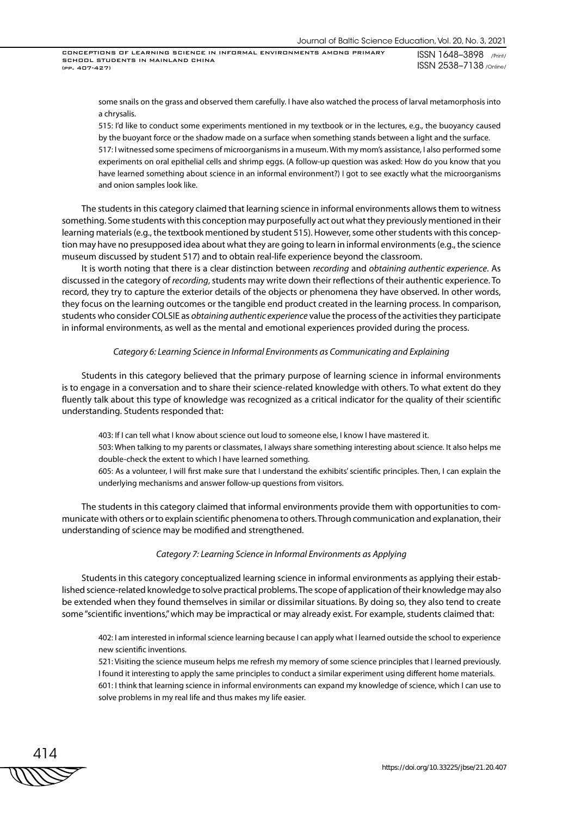some snails on the grass and observed them carefully. I have also watched the process of larval metamorphosis into a chrysalis.

515: I'd like to conduct some experiments mentioned in my textbook or in the lectures, e.g., the buoyancy caused by the buoyant force or the shadow made on a surface when something stands between a light and the surface.

517: I witnessed some specimens of microorganisms in a museum. With my mom's assistance, I also performed some experiments on oral epithelial cells and shrimp eggs. (A follow-up question was asked: How do you know that you have learned something about science in an informal environment?) I got to see exactly what the microorganisms and onion samples look like.

The students in this category claimed that learning science in informal environments allows them to witness something. Some students with this conception may purposefully act out what they previously mentioned in their learning materials (e.g., the textbook mentioned by student 515). However, some other students with this conception may have no presupposed idea about what they are going to learn in informal environments (e.g., the science museum discussed by student 517) and to obtain real-life experience beyond the classroom.

It is worth noting that there is a clear distinction between *recording* and *obtaining authentic experience*. As discussed in the category of *recording*, students may write down their reflections of their authentic experience. To record, they try to capture the exterior details of the objects or phenomena they have observed. In other words, they focus on the learning outcomes or the tangible end product created in the learning process. In comparison, students who consider COLSIE as *obtaining authentic experience* value the process of the activities they participate in informal environments, as well as the mental and emotional experiences provided during the process.

#### *Category 6: Learning Science in Informal Environments as Communicating and Explaining*

Students in this category believed that the primary purpose of learning science in informal environments is to engage in a conversation and to share their science-related knowledge with others. To what extent do they fluently talk about this type of knowledge was recognized as a critical indicator for the quality of their scientific understanding. Students responded that:

403: If I can tell what I know about science out loud to someone else, I know I have mastered it. 503: When talking to my parents or classmates, I always share something interesting about science. It also helps me double-check the extent to which I have learned something.

605: As a volunteer, I will first make sure that I understand the exhibits' scientific principles. Then, I can explain the underlying mechanisms and answer follow-up questions from visitors.

The students in this category claimed that informal environments provide them with opportunities to communicate with others or to explain scientific phenomena to others. Through communication and explanation, their understanding of science may be modified and strengthened.

#### *Category 7: Learning Science in Informal Environments as Applying*

Students in this category conceptualized learning science in informal environments as applying their established science-related knowledge to solve practical problems. The scope of application of their knowledge may also be extended when they found themselves in similar or dissimilar situations. By doing so, they also tend to create some "scientific inventions," which may be impractical or may already exist. For example, students claimed that:

402: I am interested in informal science learning because I can apply what I learned outside the school to experience new scientific inventions.

521: Visiting the science museum helps me refresh my memory of some science principles that I learned previously. I found it interesting to apply the same principles to conduct a similar experiment using different home materials. 601: I think that learning science in informal environments can expand my knowledge of science, which I can use to solve problems in my real life and thus makes my life easier.

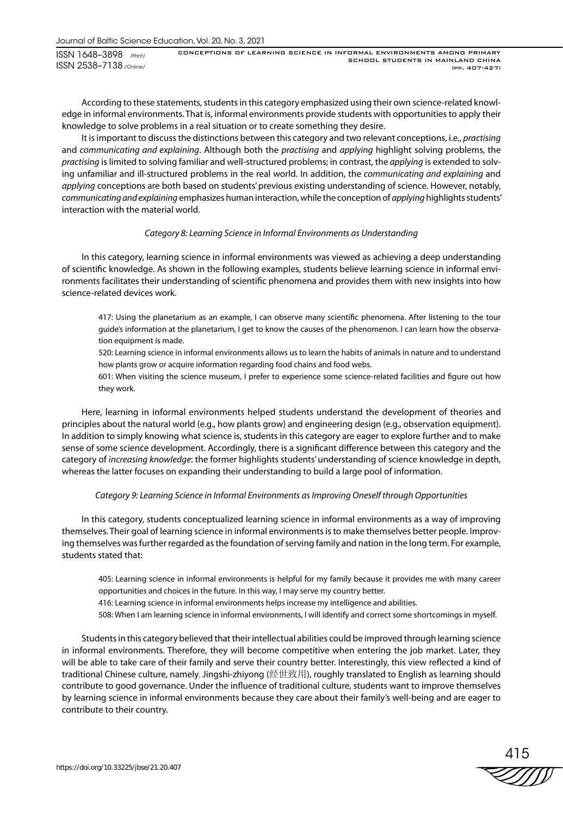According to these statements, students in this category emphasized using their own science-related knowledge in informal environments. That is, informal environments provide students with opportunities to apply their knowledge to solve problems in a real situation or to create something they desire.

It is important to discuss the distinctions between this category and two relevant conceptions, i.e., *practising* and *communicating and explaining*. Although both the *practising* and *applying* highlight solving problems, the *practising* is limited to solving familiar and well-structured problems; in contrast, the *applying* is extended to solving unfamiliar and ill-structured problems in the real world. In addition, the *communicating and explaining* and *applying* conceptions are both based on students' previous existing understanding of science. However, notably, *communicating and explaining* emphasizes human interaction, while the conception of *applying* highlights students' interaction with the material world.

# *Category 8: Learning Science in Informal Environments as Understanding*

In this category, learning science in informal environments was viewed as achieving a deep understanding of scientific knowledge. As shown in the following examples, students believe learning science in informal environments facilitates their understanding of scientific phenomena and provides them with new insights into how science-related devices work.

417: Using the planetarium as an example, I can observe many scientific phenomena. After listening to the tour guide's information at the planetarium, I get to know the causes of the phenomenon. I can learn how the observation equipment is made.

520: Learning science in informal environments allows us to learn the habits of animals in nature and to understand how plants grow or acquire information regarding food chains and food webs.

601: When visiting the science museum, I prefer to experience some science-related facilities and figure out how they work.

Here, learning in informal environments helped students understand the development of theories and principles about the natural world (e.g., how plants grow) and engineering design (e.g., observation equipment). In addition to simply knowing what science is, students in this category are eager to explore further and to make sense of some science development. Accordingly, there is a significant difference between this category and the category of *increasing knowledge*: the former highlights students' understanding of science knowledge in depth, whereas the latter focuses on expanding their understanding to build a large pool of information.

# *Category 9: Learning Science in Informal Environments as Improving Oneself through Opportunities*

In this category, students conceptualized learning science in informal environments as a way of improving themselves. Their goal of learning science in informal environments is to make themselves better people. Improving themselves was further regarded as the foundation of serving family and nation in the long term. For example, students stated that:

405: Learning science in informal environments is helpful for my family because it provides me with many career opportunities and choices in the future. In this way, I may serve my country better.

416: Learning science in informal environments helps increase my intelligence and abilities.

508: When I am learning science in informal environments, I will identify and correct some shortcomings in myself.

Students in this category believed that their intellectual abilities could be improved through learning science in informal environments. Therefore, they will become competitive when entering the job market. Later, they will be able to take care of their family and serve their country better. Interestingly, this view reflected a kind of traditional Chinese culture, namely, Jingshi-zhiyong (经世致用), roughly translated to English as learning should contribute to good governance. Under the influence of traditional culture, students want to improve themselves by learning science in informal environments because they care about their family's well-being and are eager to contribute to their country.

415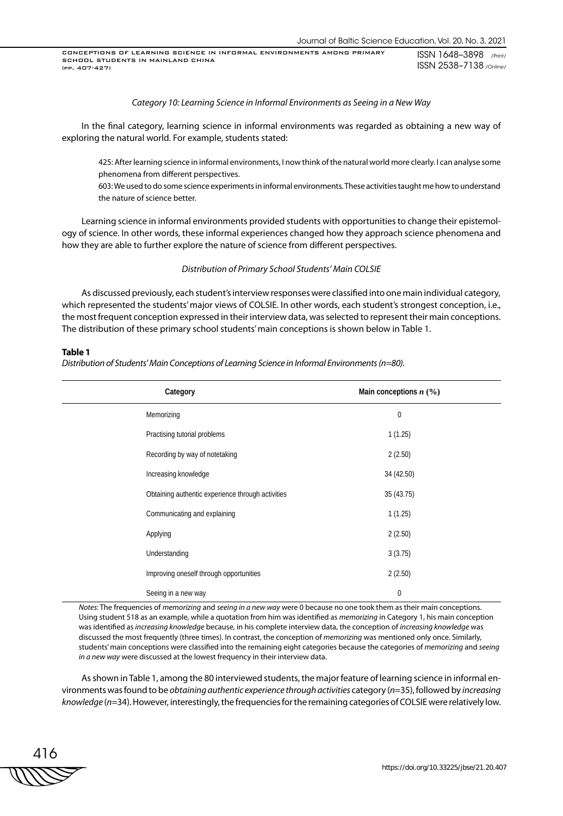## *Category 10: Learning Science in Informal Environments as Seeing in a New Way*

In the final category, learning science in informal environments was regarded as obtaining a new way of exploring the natural world. For example, students stated:

425: After learning science in informal environments, I now think of the natural world more clearly. I can analyse some phenomena from different perspectives.

603: We used to do some science experiments in informal environments. These activities taught me how to understand the nature of science better.

Learning science in informal environments provided students with opportunities to change their epistemology of science. In other words, these informal experiences changed how they approach science phenomena and how they are able to further explore the nature of science from different perspectives.

*Distribution of Primary School Students' Main COLSIE*

As discussed previously, each student's interview responses were classified into one main individual category, which represented the students' major views of COLSIE. In other words, each student's strongest conception, i.e., the most frequent conception expressed in their interview data, was selected to represent their main conceptions. The distribution of these primary school students' main conceptions is shown below in Table 1.

#### **Table 1**

*Distribution of Students' Main Conceptions of Learning Science in Informal Environments (n=80).*

| Category                                          | Main conceptions $n$ (%) |
|---------------------------------------------------|--------------------------|
| Memorizing                                        | 0                        |
| Practising tutorial problems                      | 1(1.25)                  |
| Recording by way of notetaking                    | 2(2.50)                  |
| Increasing knowledge                              | 34 (42.50)               |
| Obtaining authentic experience through activities | 35(43.75)                |
| Communicating and explaining                      | 1(1.25)                  |
| Applying                                          | 2(2.50)                  |
| Understanding                                     | 3(3.75)                  |
| Improving oneself through opportunities           | 2(2.50)                  |
| Seeing in a new way                               | 0                        |

*Notes*: The frequencies of *memorizing* and *seeing in a new way* were 0 because no one took them as their main conceptions. Using student 518 as an example, while a quotation from him was identified as *memorizing* in Category 1, his main conception was identified as *increasing knowledge* because, in his complete interview data, the conception of *increasing knowledge* was discussed the most frequently (three times). In contrast, the conception of *memorizing* was mentioned only once. Similarly, students' main conceptions were classified into the remaining eight categories because the categories of *memorizing* and *seeing in a new way* were discussed at the lowest frequency in their interview data.

As shown in Table 1, among the 80 interviewed students, the major feature of learning science in informal environments was found to be *obtaining authentic experience through activities* category (*n*=35), followed by *increasing knowledge* (*n*=34). However, interestingly, the frequencies for the remaining categories of COLSIE were relatively low.

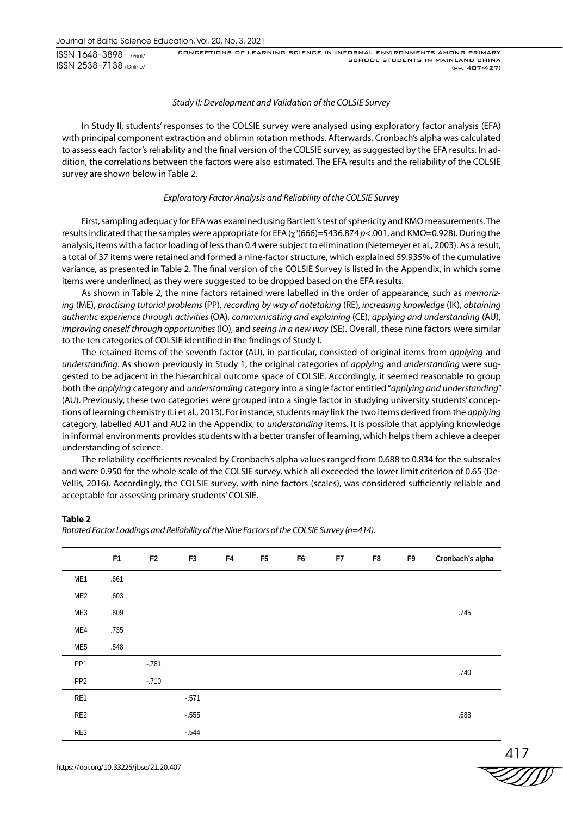# *Study II: Development and Validation of the COLSIE Survey*

In Study II, students' responses to the COLSIE survey were analysed using exploratory factor analysis (EFA) with principal component extraction and oblimin rotation methods. Afterwards, Cronbach's alpha was calculated to assess each factor's reliability and the final version of the COLSIE survey, as suggested by the EFA results. In addition, the correlations between the factors were also estimated. The EFA results and the reliability of the COLSIE survey are shown below in Table 2.

# *Exploratory Factor Analysis and Reliability of the COLSIE Survey*

First, sampling adequacy for EFA was examined using Bartlett's test of sphericity and KMO measurements. The results indicated that the samples were appropriate for EFA ( $\chi^2$ (666)=5436.874 *p*<.001, and KMO=0.928). During the analysis, items with a factor loading of less than 0.4 were subject to elimination (Netemeyer et al., 2003). As a result, a total of 37 items were retained and formed a nine-factor structure, which explained 59.935% of the cumulative variance, as presented in Table 2. The final version of the COLSIE Survey is listed in the Appendix, in which some items were underlined, as they were suggested to be dropped based on the EFA results.

As shown in Table 2, the nine factors retained were labelled in the order of appearance, such as *memorizing* (ME), *practising tutorial problems* (PP), *recording by way of notetaking* (RE), *increasing knowledge* (IK), *obtaining authentic experience through activities* (OA), *communicating and explaining* (CE), *applying and understanding* (AU), *improving oneself through opportunities* (IO), and *seeing in a new way* (SE). Overall, these nine factors were similar to the ten categories of COLSIE identified in the findings of Study I.

The retained items of the seventh factor (AU), in particular, consisted of original items from *applying* and *understanding*. As shown previously in Study 1, the original categories of *applying* and *understanding* were suggested to be adjacent in the hierarchical outcome space of COLSIE. Accordingly, it seemed reasonable to group both the *applying* category and *understanding* category into a single factor entitled "*applying and understanding*" (AU). Previously, these two categories were grouped into a single factor in studying university students' conceptions of learning chemistry (Li et al., 2013). For instance, students may link the two items derived from the *applying* category, labelled AU1 and AU2 in the Appendix, to *understanding* items. It is possible that applying knowledge in informal environments provides students with a better transfer of learning, which helps them achieve a deeper understanding of science.

The reliability coefficients revealed by Cronbach's alpha values ranged from 0.688 to 0.834 for the subscales and were 0.950 for the whole scale of the COLSIE survey, which all exceeded the lower limit criterion of 0.65 (De-Vellis, 2016). Accordingly, the COLSIE survey, with nine factors (scales), was considered sufficiently reliable and acceptable for assessing primary students' COLSIE.

# **Table 2**

*Rotated Factor Loadings and Reliability of the Nine Factors of the COLSIE Survey (n=414).*

|                 | F <sub>1</sub> | F <sub>2</sub> | F <sub>3</sub> | F4 | F <sub>5</sub> | F6 | F7 | F8 | F9 | Cronbach's alpha |
|-----------------|----------------|----------------|----------------|----|----------------|----|----|----|----|------------------|
| ME1             | .661           |                |                |    |                |    |    |    |    |                  |
| ME <sub>2</sub> | .603           |                |                |    |                |    |    |    |    |                  |
| ME3             | .609           |                |                |    |                |    |    |    |    | .745             |
| ME4             | .735           |                |                |    |                |    |    |    |    |                  |
| ME5             | .548           |                |                |    |                |    |    |    |    |                  |
| PP <sub>1</sub> |                | $-781$         |                |    |                |    |    |    |    |                  |
| PP <sub>2</sub> |                | $-.710$        |                |    |                |    |    |    |    | .740             |
| RE1             |                |                | $-571$         |    |                |    |    |    |    |                  |
| RE <sub>2</sub> |                |                | $-555$         |    |                |    |    |    |    | .688             |
| RE3             |                |                | $-544$         |    |                |    |    |    |    |                  |



417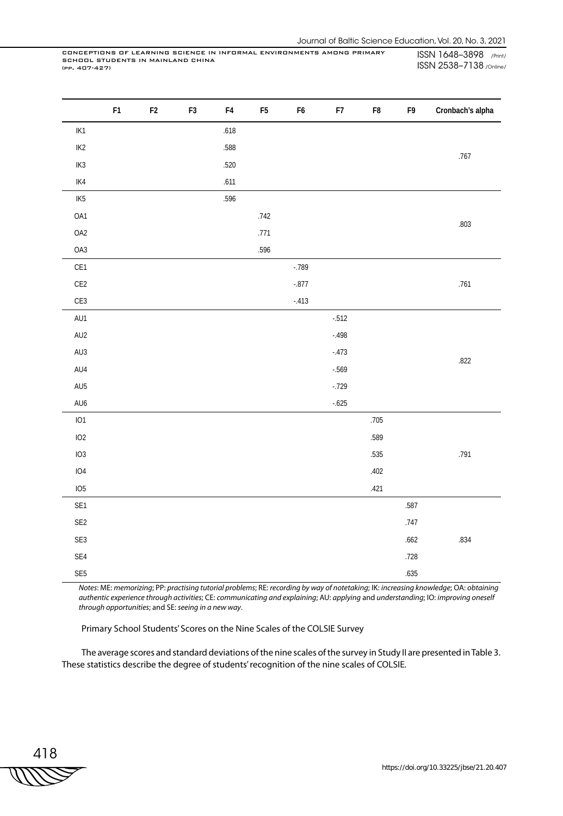|                             | F <sub>1</sub> | $\mathsf{F}2$ | ${\sf F3}$ | ${\sf F4}$ | F <sub>5</sub> | F6      | F7       | ${\sf F}8$ | F9   | Cronbach's alpha |
|-----------------------------|----------------|---------------|------------|------------|----------------|---------|----------|------------|------|------------------|
| $IK1$                       |                |               |            | .618       |                |         |          |            |      |                  |
| $IK2$                       |                |               |            | .588       |                |         |          |            |      | .767             |
| $IK3$                       |                |               |            | .520       |                |         |          |            |      |                  |
| $IK4$                       |                |               |            | .611       |                |         |          |            |      |                  |
| IK <sub>5</sub>             |                |               |            | .596       |                |         |          |            |      |                  |
| OA1                         |                |               |            |            | $.742$         |         |          |            |      | .803             |
| OA2                         |                |               |            |            | .771           |         |          |            |      |                  |
| OA3                         |                |               |            |            | .596           |         |          |            |      |                  |
| CE1                         |                |               |            |            |                | $-789$  |          |            |      |                  |
| CE2                         |                |               |            |            |                | $-.877$ |          |            |      | .761             |
| CE3                         |                |               |            |            |                | $-.413$ |          |            |      |                  |
| AU1                         |                |               |            |            |                |         | $-512$   |            |      |                  |
| AU2                         |                |               |            |            |                |         | $-.498$  |            |      |                  |
| AU3                         |                |               |            |            |                |         | $-.473$  |            |      | .822             |
| AU4                         |                |               |            |            |                |         | $-0.569$ |            |      |                  |
| AU5                         |                |               |            |            |                |         | $-0.729$ |            |      |                  |
| AU <sub>6</sub>             |                |               |            |            |                |         | $-.625$  |            |      |                  |
| IO1                         |                |               |            |            |                |         |          | .705       |      |                  |
| IO2                         |                |               |            |            |                |         |          | .589       |      |                  |
| IO3                         |                |               |            |            |                |         |          | .535       |      | .791             |
| IO4                         |                |               |            |            |                |         |          | .402       |      |                  |
| IO <sub>5</sub>             |                |               |            |            |                |         |          | .421       |      |                  |
| SE1                         |                |               |            |            |                |         |          |            | .587 |                  |
| $SE2$                       |                |               |            |            |                |         |          |            | .747 |                  |
| SE3                         |                |               |            |            |                |         |          |            | .662 | .834             |
| SE4                         |                |               |            |            |                |         |          |            | .728 |                  |
| $\ensuremath{\mathsf{SE5}}$ |                |               |            |            |                |         |          |            | .635 |                  |

*Notes*: ME: *memorizing*; PP: *practising tutorial problems*; RE: *recording by way of notetaking*; IK: *increasing knowledge*; OA: *obtaining authentic experience through activities*; CE: *communicating and explaining*; AU: *applying* and *understanding*; IO: *improving oneself through opportunities*; and SE: *seeing in a new way*.

Primary School Students' Scores on the Nine Scales of the COLSIE Survey

The average scores and standard deviations of the nine scales of the survey in Study II are presented in Table 3. These statistics describe the degree of students' recognition of the nine scales of COLSIE.

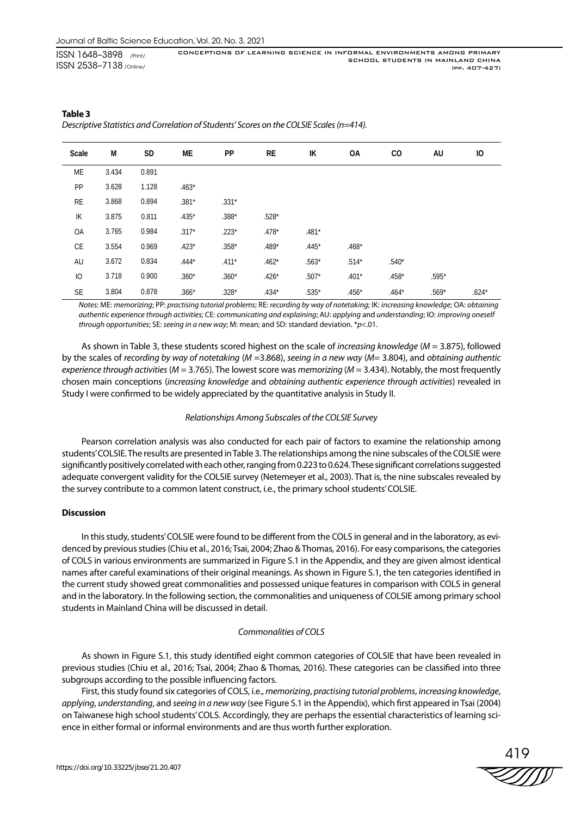| Scale     | M     | <b>SD</b> | МE      | PP      | RE      | IK      | OA      | CO.     | AU      | Ю       |
|-----------|-------|-----------|---------|---------|---------|---------|---------|---------|---------|---------|
| ME        | 3.434 | 0.891     |         |         |         |         |         |         |         |         |
| PP        | 3.628 | 1.128     | $.463*$ |         |         |         |         |         |         |         |
| <b>RE</b> | 3.868 | 0.894     | $.381*$ | $.331*$ |         |         |         |         |         |         |
| IK        | 3.875 | 0.811     | $.435*$ | $.388*$ | $.528*$ |         |         |         |         |         |
| OA        | 3.765 | 0.984     | $.317*$ | $.223*$ | $.478*$ | $.481*$ |         |         |         |         |
| CE        | 3.554 | 0.969     | $.423*$ | $.358*$ | $.489*$ | $.445*$ | $.468*$ |         |         |         |
| AU        | 3.672 | 0.834     | $.444*$ | $.411*$ | $.462*$ | $.563*$ | $.514*$ | $.540*$ |         |         |
| IO        | 3.718 | 0.900     | $.360*$ | $.360*$ | $.426*$ | $.507*$ | $.401*$ | $.458*$ | $.595*$ |         |
| <b>SE</b> | 3.804 | 0.878     | $.366*$ | $.328*$ | $.434*$ | $.535*$ | $.456*$ | $.464*$ | $.569*$ | $.624*$ |

# **Table 3** *Descriptive Statistics and Correlation of Students' Scores on the COLSIE Scales (n=414).*

*Notes*: ME: *memorizing*; PP: *practising tutorial problems*; RE: *recording by way of notetaking*; IK: *increasing knowledge*; OA: *obtaining authentic experience through activities*; CE: *communicating and explaining*; AU: *applying* and *understanding*; IO: *improving oneself through opportunities*; SE: *seeing in a new way*; M: mean; and SD: standard deviation. \**p*<.01.

As shown in Table 3, these students scored highest on the scale of *increasing knowledge* (*M* = 3.875), followed by the scales of *recording by way of notetaking* (*M* =3.868), *seeing in a new way* (*M*= 3.804), and *obtaining authentic experience through activities* (*M* = 3.765). The lowest score was *memorizing* (*M* = 3.434). Notably, the most frequently chosen main conceptions (*increasing knowledge* and *obtaining authentic experience through activities*) revealed in Study I were confirmed to be widely appreciated by the quantitative analysis in Study II.

# *Relationships Among Subscales of the COLSIE Survey*

Pearson correlation analysis was also conducted for each pair of factors to examine the relationship among students' COLSIE. The results are presented in Table 3. The relationships among the nine subscales of the COLSIE were significantly positively correlated with each other, ranging from 0.223 to 0.624. These significant correlations suggested adequate convergent validity for the COLSIE survey (Netemeyer et al., 2003). That is, the nine subscales revealed by the survey contribute to a common latent construct, i.e., the primary school students' COLSIE.

# **Discussion**

In this study, students' COLSIE were found to be different from the COLS in general and in the laboratory, as evidenced by previous studies (Chiu et al., 2016; Tsai, 2004; Zhao & Thomas, 2016). For easy comparisons, the categories of COLS in various environments are summarized in Figure S.1 in the Appendix, and they are given almost identical names after careful examinations of their original meanings. As shown in Figure S.1, the ten categories identified in the current study showed great commonalities and possessed unique features in comparison with COLS in general and in the laboratory. In the following section, the commonalities and uniqueness of COLSIE among primary school students in Mainland China will be discussed in detail.

# *Commonalities of COLS*

As shown in Figure S.1, this study identified eight common categories of COLSIE that have been revealed in previous studies (Chiu et al., 2016; Tsai, 2004; Zhao & Thomas, 2016). These categories can be classified into three subgroups according to the possible influencing factors.

First, this study found six categories of COLS, i.e., *memorizing*, *practising tutorial problems*, *increasing knowledge*, *applying*, *understanding*, and *seeing in a new way* (see Figure S.1 in the Appendix), which first appeared in Tsai (2004) on Taiwanese high school students' COLS. Accordingly, they are perhaps the essential characteristics of learning science in either formal or informal environments and are thus worth further exploration.

419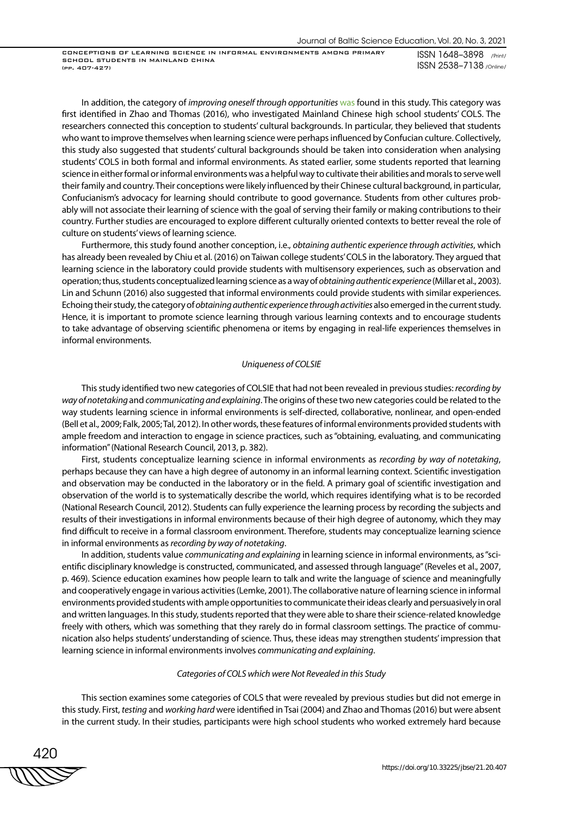CONCEPTIONS OF LEARNING SCIENCE IN INFORMAL ENVIRONMENTS AMONG PRIMARY SCHOOL STUDENTS IN MAINLAND CHINA (pp. 407-427)

ISSN 1648–3898 /Print/ ISSN 2538–7138 /Online/

In addition, the category of *improving oneself through opportunities* was found in this study. This category was first identified in Zhao and Thomas (2016), who investigated Mainland Chinese high school students' COLS. The researchers connected this conception to students' cultural backgrounds. In particular, they believed that students who want to improve themselves when learning science were perhaps influenced by Confucian culture. Collectively, this study also suggested that students' cultural backgrounds should be taken into consideration when analysing students' COLS in both formal and informal environments. As stated earlier, some students reported that learning science in either formal or informal environments was a helpful way to cultivate their abilities and morals to serve well their family and country. Their conceptions were likely influenced by their Chinese cultural background, in particular, Confucianism's advocacy for learning should contribute to good governance. Students from other cultures probably will not associate their learning of science with the goal of serving their family or making contributions to their country. Further studies are encouraged to explore different culturally oriented contexts to better reveal the role of culture on students' views of learning science.

Furthermore, this study found another conception, i.e., *obtaining authentic experience through activities*, which has already been revealed by Chiu et al. (2016) on Taiwan college students' COLS in the laboratory. They argued that learning science in the laboratory could provide students with multisensory experiences, such as observation and operation; thus, students conceptualized learning science as a way of *obtaining authentic experience* (Millar et al., 2003). Lin and Schunn (2016) also suggested that informal environments could provide students with similar experiences. Echoing their study, the category of *obtaining authentic experience through activities* also emerged in the current study. Hence, it is important to promote science learning through various learning contexts and to encourage students to take advantage of observing scientific phenomena or items by engaging in real-life experiences themselves in informal environments.

# *Uniqueness of COLSIE*

This study identified two new categories of COLSIE that had not been revealed in previous studies: *recording by way of notetaking* and *communicating and explaining*. The origins of these two new categories could be related to the way students learning science in informal environments is self-directed, collaborative, nonlinear, and open-ended (Bell et al., 2009; Falk, 2005; Tal, 2012). In other words, these features of informal environments provided students with ample freedom and interaction to engage in science practices, such as "obtaining, evaluating, and communicating information" (National Research Council, 2013, p. 382).

First, students conceptualize learning science in informal environments as *recording by way of notetaking*, perhaps because they can have a high degree of autonomy in an informal learning context. Scientific investigation and observation may be conducted in the laboratory or in the field. A primary goal of scientific investigation and observation of the world is to systematically describe the world, which requires identifying what is to be recorded (National Research Council, 2012). Students can fully experience the learning process by recording the subjects and results of their investigations in informal environments because of their high degree of autonomy, which they may find difficult to receive in a formal classroom environment. Therefore, students may conceptualize learning science in informal environments as *recording by way of notetaking*.

In addition, students value *communicating and explaining* in learning science in informal environments, as "scientific disciplinary knowledge is constructed, communicated, and assessed through language" (Reveles et al., 2007, p. 469). Science education examines how people learn to talk and write the language of science and meaningfully and cooperatively engage in various activities (Lemke, 2001). The collaborative nature of learning science in informal environments provided students with ample opportunities to communicate their ideas clearly and persuasively in oral and written languages. In this study, students reported that they were able to share their science-related knowledge freely with others, which was something that they rarely do in formal classroom settings. The practice of communication also helps students' understanding of science. Thus, these ideas may strengthen students' impression that learning science in informal environments involves *communicating and explaining*.

#### *Categories of COLS which were Not Revealed in this Study*

This section examines some categories of COLS that were revealed by previous studies but did not emerge in this study. First, *testing* and *working hard* were identified in Tsai (2004) and Zhao and Thomas (2016) but were absent in the current study. In their studies, participants were high school students who worked extremely hard because

420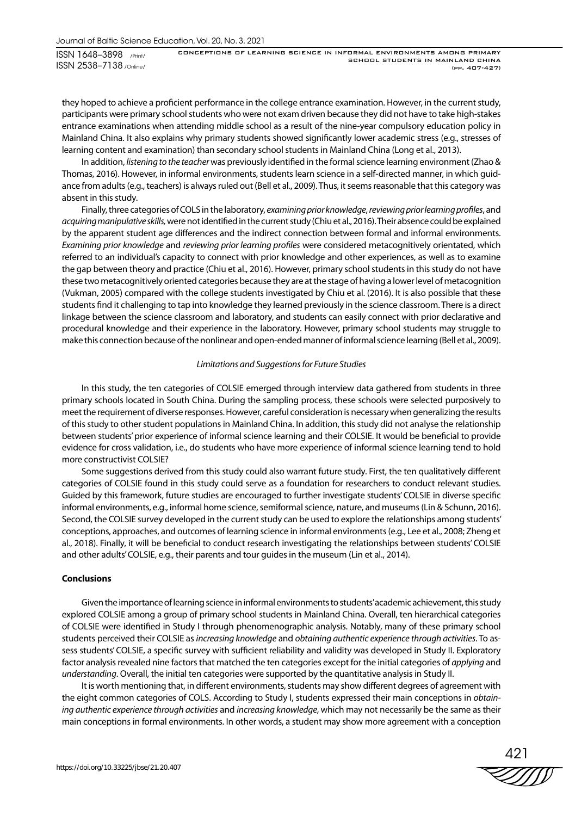they hoped to achieve a proficient performance in the college entrance examination. However, in the current study, participants were primary school students who were not exam driven because they did not have to take high-stakes entrance examinations when attending middle school as a result of the nine-year compulsory education policy in Mainland China. It also explains why primary students showed significantly lower academic stress (e.g., stresses of learning content and examination) than secondary school students in Mainland China (Long et al., 2013).

In addition, *listening to the teacher* was previously identified in the formal science learning environment (Zhao & Thomas, 2016). However, in informal environments, students learn science in a self-directed manner, in which guidance from adults (e.g., teachers) is always ruled out (Bell et al., 2009). Thus, it seems reasonable that this category was absent in this study.

Finally, three categories of COLS in the laboratory, *examining prior knowledge*, *reviewing prior learning profiles*, and *acquiring manipulative skills,* were not identified in the current study (Chiu et al., 2016). Their absence could be explained by the apparent student age differences and the indirect connection between formal and informal environments. *Examining prior knowledge* and *reviewing prior learning profiles* were considered metacognitively orientated, which referred to an individual's capacity to connect with prior knowledge and other experiences, as well as to examine the gap between theory and practice (Chiu et al., 2016). However, primary school students in this study do not have these two metacognitively oriented categories because they are at the stage of having a lower level of metacognition (Vukman, 2005) compared with the college students investigated by Chiu et al. (2016). It is also possible that these students find it challenging to tap into knowledge they learned previously in the science classroom. There is a direct linkage between the science classroom and laboratory, and students can easily connect with prior declarative and procedural knowledge and their experience in the laboratory. However, primary school students may struggle to make this connection because of the nonlinear and open-ended manner of informal science learning (Bell et al., 2009).

# *Limitations and Suggestions for Future Studies*

In this study, the ten categories of COLSIE emerged through interview data gathered from students in three primary schools located in South China. During the sampling process, these schools were selected purposively to meet the requirement of diverse responses. However, careful consideration is necessary when generalizing the results of this study to other student populations in Mainland China. In addition, this study did not analyse the relationship between students' prior experience of informal science learning and their COLSIE. It would be beneficial to provide evidence for cross validation, i.e., do students who have more experience of informal science learning tend to hold more constructivist COLSIE?

Some suggestions derived from this study could also warrant future study. First, the ten qualitatively different categories of COLSIE found in this study could serve as a foundation for researchers to conduct relevant studies. Guided by this framework, future studies are encouraged to further investigate students' COLSIE in diverse specific informal environments, e.g., informal home science, semiformal science, nature, and museums (Lin & Schunn, 2016). Second, the COLSIE survey developed in the current study can be used to explore the relationships among students' conceptions, approaches, and outcomes of learning science in informal environments (e.g., Lee et al., 2008; Zheng et al., 2018). Finally, it will be beneficial to conduct research investigating the relationships between students' COLSIE and other adults' COLSIE, e.g., their parents and tour guides in the museum (Lin et al., 2014).

#### **Conclusions**

Given the importance of learning science in informal environments to students' academic achievement, this study explored COLSIE among a group of primary school students in Mainland China. Overall, ten hierarchical categories of COLSIE were identified in Study I through phenomenographic analysis. Notably, many of these primary school students perceived their COLSIE as *increasing knowledge* and *obtaining authentic experience through activities*. To assess students' COLSIE, a specific survey with sufficient reliability and validity was developed in Study II. Exploratory factor analysis revealed nine factors that matched the ten categories except for the initial categories of *applying* and *understanding*. Overall, the initial ten categories were supported by the quantitative analysis in Study II.

It is worth mentioning that, in different environments, students may show different degrees of agreement with the eight common categories of COLS. According to Study I, students expressed their main conceptions in *obtaining authentic experience through activities* and *increasing knowledge*, which may not necessarily be the same as their main conceptions in formal environments. In other words, a student may show more agreement with a conception

421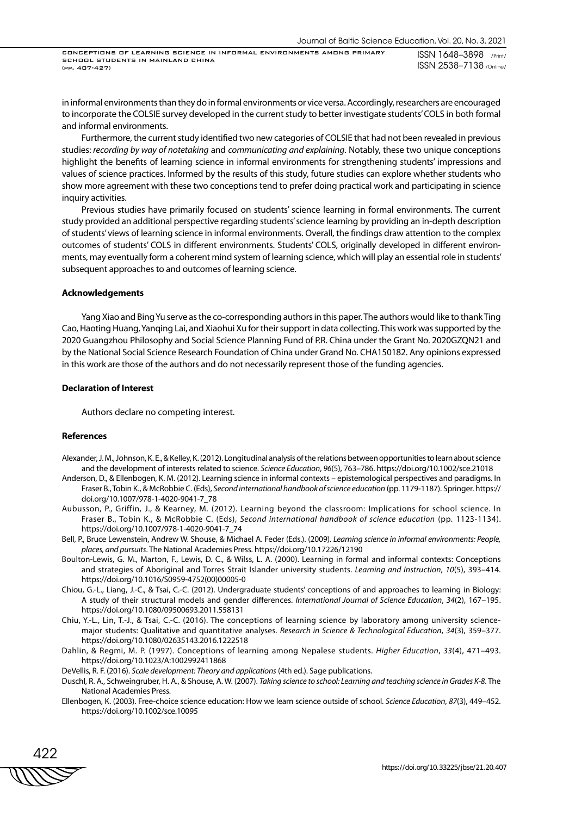CONCEPTIONS OF LEARNING SCIENCE IN INFORMAL ENVIRONMENTS AMONG PRIMARY SCHOOL STUDENTS IN MAINLAND CHINA (pp. 407-427)

ISSN 1648–3898 /Print/ ISSN 2538–7138 /Online/

in informal environments than they do in formal environments or vice versa. Accordingly, researchers are encouraged to incorporate the COLSIE survey developed in the current study to better investigate students' COLS in both formal and informal environments.

Furthermore, the current study identified two new categories of COLSIE that had not been revealed in previous studies: *recording by way of notetaking* and *communicating and explaining*. Notably, these two unique conceptions highlight the benefits of learning science in informal environments for strengthening students' impressions and values of science practices. Informed by the results of this study, future studies can explore whether students who show more agreement with these two conceptions tend to prefer doing practical work and participating in science inquiry activities.

Previous studies have primarily focused on students' science learning in formal environments. The current study provided an additional perspective regarding students' science learning by providing an in-depth description of students' views of learning science in informal environments. Overall, the findings draw attention to the complex outcomes of students' COLS in different environments. Students' COLS, originally developed in different environments, may eventually form a coherent mind system of learning science, which will play an essential role in students' subsequent approaches to and outcomes of learning science.

#### **Acknowledgements**

Yang Xiao and Bing Yu serve as the co-corresponding authors in this paper. The authors would like to thank Ting Cao, Haoting Huang, Yanqing Lai, and Xiaohui Xu for their support in data collecting. This work was supported by the 2020 Guangzhou Philosophy and Social Science Planning Fund of P.R. China under the Grant No. 2020GZQN21 and by the National Social Science Research Foundation of China under Grand No. CHA150182. Any opinions expressed in this work are those of the authors and do not necessarily represent those of the funding agencies.

#### **Declaration of Interest**

Authors declare no competing interest.

## **References**

- Alexander, J. M., Johnson, K. E., & Kelley, K. (2012). Longitudinal analysis of the relations between opportunities to learn about science and the development of interests related to science. *Science Education*, *96*(5), 763–786. https://doi.org/10.1002/sce.21018
- Anderson, D., & Ellenbogen, K. M. (2012). Learning science in informal contexts epistemological perspectives and paradigms. In Fraser B., Tobin K., & McRobbie C. (Eds), *Second international handbook of science education* (pp. 1179-1187). Springer. https:// doi.org/10.1007/978-1-4020-9041-7\_78
- Aubusson, P., Griffin, J., & Kearney, M. (2012). Learning beyond the classroom: Implications for school science. In Fraser B., Tobin K., & McRobbie C. (Eds), *Second international handbook of science education* (pp. 1123-1134). https://doi.org/10.1007/978-1-4020-9041-7\_74
- Bell, P., Bruce Lewenstein, Andrew W. Shouse, & Michael A. Feder (Eds.). (2009). *Learning science in informal environments: People, places, and pursuits*. The National Academies Press. https://doi.org/10.17226/12190
- Boulton-Lewis, G. M., Marton, F., Lewis, D. C., & Wilss, L. A. (2000). Learning in formal and informal contexts: Conceptions and strategies of Aboriginal and Torres Strait Islander university students. *Learning and Instruction*, *10*(5), 393–414. https://doi.org/10.1016/S0959-4752(00)00005-0
- Chiou, G.-L., Liang, J.-C., & Tsai, C.-C. (2012). Undergraduate students' conceptions of and approaches to learning in Biology: A study of their structural models and gender differences. *International Journal of Science Education*, *34*(2), 167–195. https://doi.org/10.1080/09500693.2011.558131
- Chiu, Y.-L., Lin, T.-J., & Tsai, C.-C. (2016). The conceptions of learning science by laboratory among university sciencemajor students: Qualitative and quantitative analyses. *Research in Science & Technological Education*, *34*(3), 359–377. https://doi.org/10.1080/02635143.2016.1222518
- Dahlin, & Regmi, M. P. (1997). Conceptions of learning among Nepalese students. *Higher Education*, *33*(4), 471–493. https://doi.org/10.1023/A:1002992411868
- DeVellis, R. F. (2016). *Scale development: Theory and applications* (4th ed.). Sage publications.
- Duschl, R. A., Schweingruber, H. A., & Shouse, A. W. (2007). *Taking science to school: Learning and teaching science in Grades K-8*. The National Academies Press.
- Ellenbogen, K. (2003). Free-choice science education: How we learn science outside of school. *Science Education*, *87*(3), 449–452. https://doi.org/10.1002/sce.10095

422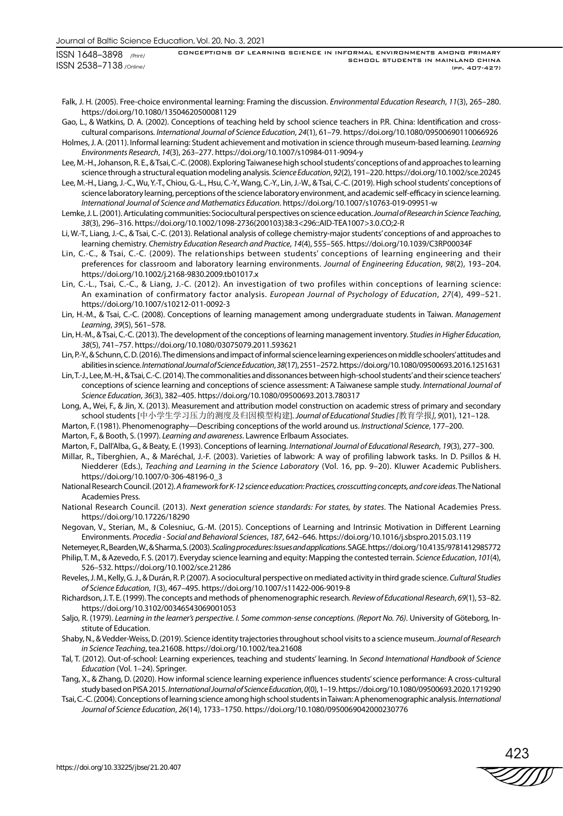CONCEPTIONS OF LEARNING SCIENCE IN INFORMAL ENVIRONMENTS AMONG PRIMARY SCHOOL STUDENTS IN MAINLAND CHINA (pp. 407-427)

- Falk, J. H. (2005). Free-choice environmental learning: Framing the discussion. *Environmental Education Research*, *11*(3), 265–280. https://doi.org/10.1080/13504620500081129
- Gao, L., & Watkins, D. A. (2002). Conceptions of teaching held by school science teachers in P.R. China: Identification and crosscultural comparisons. *International Journal of Science Education*, *24*(1), 61–79. https://doi.org/10.1080/09500690110066926
- Holmes, J. A. (2011). Informal learning: Student achievement and motivation in science through museum-based learning. *Learning Environments Research*, *14*(3), 263–277. https://doi.org/10.1007/s10984-011-9094-y
- Lee, M.-H., Johanson, R. E., & Tsai, C.-C. (2008). Exploring Taiwanese high school students' conceptions of and approaches to learning science through a structural equation modeling analysis. *Science Education*, *92*(2), 191–220. https://doi.org/10.1002/sce.20245
- Lee, M.-H., Liang, J.-C., Wu, Y.-T., Chiou, G.-L., Hsu, C.-Y., Wang, C.-Y., Lin, J.-W., & Tsai, C.-C. (2019). High school students' conceptions of science laboratory learning, perceptions of the science laboratory environment, and academic self-efficacy in science learning. *International Journal of Science and Mathematics Education*. https://doi.org/10.1007/s10763-019-09951-w
- Lemke, J. L. (2001). Articulating communities: Sociocultural perspectives on science education. *Journal of Research in Science Teaching*, *38*(3), 296–316. https://doi.org/10.1002/1098-2736(200103)38:3<296::AID-TEA1007>3.0.CO;2-R
- Li, W.-T., Liang, J.-C., & Tsai, C.-C. (2013). Relational analysis of college chemistry-major students' conceptions of and approaches to learning chemistry. *Chemistry Education Research and Practice*, *14*(4), 555–565. https://doi.org/10.1039/C3RP00034F
- Lin, C.-C., & Tsai, C.-C. (2009). The relationships between students' conceptions of learning engineering and their preferences for classroom and laboratory learning environments. *Journal of Engineering Education*, *98*(2), 193–204. https://doi.org/10.1002/j.2168-9830.2009.tb01017.x
- Lin, C.-L., Tsai, C.-C., & Liang, J.-C. (2012). An investigation of two profiles within conceptions of learning science: An examination of confirmatory factor analysis. *European Journal of Psychology of Education*, *27*(4), 499–521. https://doi.org/10.1007/s10212-011-0092-3
- Lin, H.-M., & Tsai, C.-C. (2008). Conceptions of learning management among undergraduate students in Taiwan. *Management Learning*, *39*(5), 561–578.
- Lin, H.-M., & Tsai, C.-C. (2013). The development of the conceptions of learning management inventory. *Studies in Higher Education*, *38*(5), 741–757. https://doi.org/10.1080/03075079.2011.593621
- Lin, P.-Y., & Schunn, C. D. (2016). The dimensions and impact of informal science learning experiences on middle schoolers' attitudes and abilities in science. *International Journal of Science Education*, *38*(17), 2551–2572. https://doi.org/10.1080/09500693.2016.1251631
- Lin, T.-J., Lee, M.-H., & Tsai, C.-C. (2014). The commonalities and dissonances between high-school students' and their science teachers' conceptions of science learning and conceptions of science assessment: A Taiwanese sample study. *International Journal of Science Education*, *36*(3), 382–405. https://doi.org/10.1080/09500693.2013.780317
- Long, A., Wei, F., & Jin, X. (2013). Measurement and attribution model construction on academic stress of primary and secondary school students [中小学生学习压力的测度及归因模型构建]. *Journal of Educational Studies [*教育学报*]*, *9*(01), 121–128.
- Marton, F. (1981). Phenomenography—Describing conceptions of the world around us. *Instructional Science*, 177–200.
- Marton, F., & Booth, S. (1997). *Learning and awareness*. Lawrence Erlbaum Associates.
- Marton, F., Dall'Alba, G., & Beaty, E. (1993). Conceptions of learning. *International Journal of Educational Research*, *19*(3), 277–300.
- Millar, R., Tiberghien, A., & Maréchal, J.-F. (2003). Varieties of labwork: A way of profiling labwork tasks. In D. Psillos & H. Niedderer (Eds.), *Teaching and Learning in the Science Laboratory* (Vol. 16, pp. 9–20). Kluwer Academic Publishers. https://doi.org/10.1007/0-306-48196-0\_3
- National Research Council. (2012). *A framework for K-12 science education: Practices, crosscutting concepts, and core ideas*. The National Academies Press.
- National Research Council. (2013). *Next generation science standards: For states, by states*. The National Academies Press. https://doi.org/10.17226/18290
- Negovan, V., Sterian, M., & Colesniuc, G.-M. (2015). Conceptions of Learning and Intrinsic Motivation in Different Learning Environments. *Procedia - Social and Behavioral Sciences*, *187*, 642–646. https://doi.org/10.1016/j.sbspro.2015.03.119
- Netemeyer, R., Bearden, W., & Sharma, S. (2003). *Scaling procedures: Issues and applications*. SAGE. https://doi.org/10.4135/9781412985772
- Philip, T. M., & Azevedo, F. S. (2017). Everyday science learning and equity: Mapping the contested terrain. *Science Education*, *101*(4), 526–532. https://doi.org/10.1002/sce.21286
- Reveles, J. M., Kelly, G. J., & Durán, R. P. (2007). A sociocultural perspective on mediated activity in third grade science. *Cultural Studies of Science Education*, *1*(3), 467–495. https://doi.org/10.1007/s11422-006-9019-8
- Richardson, J. T. E. (1999). The concepts and methods of phenomenographic research. *Review of Educational Research*, *69*(1), 53–82. https://doi.org/10.3102/00346543069001053
- Saljo, R. (1979). *Learning in the learner's perspective. I. Some common-sense conceptions. (Report No. 76)*. University of Göteborg, Institute of Education.
- Shaby, N., & Vedder-Weiss, D. (2019). Science identity trajectories throughout school visits to a science museum. *Journal of Research in Science Teaching*, tea.21608. https://doi.org/10.1002/tea.21608
- Tal, T. (2012). Out-of-school: Learning experiences, teaching and students' learning. In *Second International Handbook of Science Education* (Vol. 1–24). Springer.
- Tang, X., & Zhang, D. (2020). How informal science learning experience influences students' science performance: A cross-cultural study based on PISA 2015. *International Journal of Science Education*, *0*(0), 1–19. https://doi.org/10.1080/09500693.2020.1719290
- Tsai, C.-C. (2004). Conceptions of learning science among high school students in Taiwan: A phenomenographic analysis. *International Journal of Science Education*, *26*(14), 1733–1750. https://doi.org/10.1080/0950069042000230776

423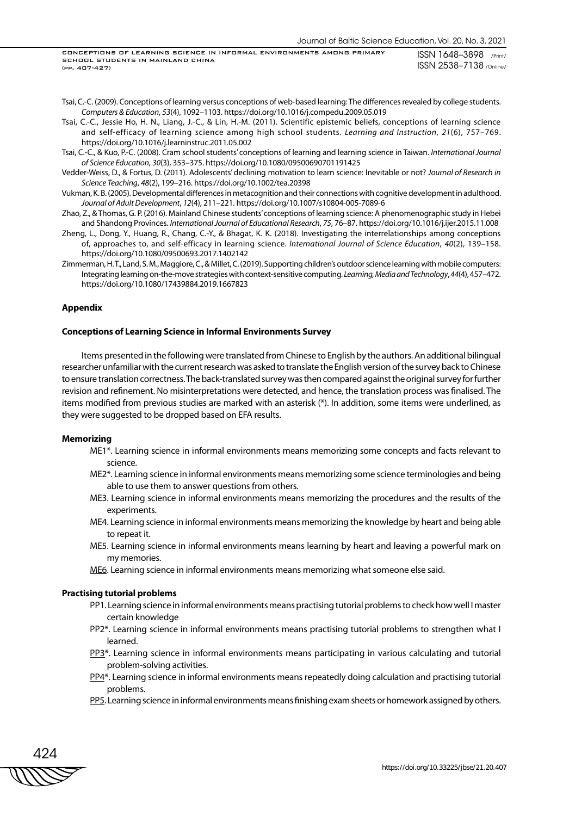- Tsai, C.-C. (2009). Conceptions of learning versus conceptions of web-based learning: The differences revealed by college students. *Computers & Education*, *53*(4), 1092–1103. https://doi.org/10.1016/j.compedu.2009.05.019
- Tsai, C.-C., Jessie Ho, H. N., Liang, J.-C., & Lin, H.-M. (2011). Scientific epistemic beliefs, conceptions of learning science and self-efficacy of learning science among high school students. *Learning and Instruction*, *21*(6), 757–769. https://doi.org/10.1016/j.learninstruc.2011.05.002
- Tsai, C.-C., & Kuo, P.-C. (2008). Cram school students' conceptions of learning and learning science in Taiwan. *International Journal of Science Education*, *30*(3), 353–375. https://doi.org/10.1080/09500690701191425
- Vedder-Weiss, D., & Fortus, D. (2011). Adolescents' declining motivation to learn science: Inevitable or not? *Journal of Research in Science Teaching*, *48*(2), 199–216. https://doi.org/10.1002/tea.20398
- Vukman, K. B. (2005). Developmental differences in metacognition and their connections with cognitive development in adulthood. *Journal of Adult Development*, *12*(4), 211–221. https://doi.org/10.1007/s10804-005-7089-6
- Zhao, Z., & Thomas, G. P. (2016). Mainland Chinese students' conceptions of learning science: A phenomenographic study in Hebei and Shandong Provinces. *International Journal of Educational Research*, *75*, 76–87. https://doi.org/10.1016/j.ijer.2015.11.008
- Zheng, L., Dong, Y., Huang, R., Chang, C.-Y., & Bhagat, K. K. (2018). Investigating the interrelationships among conceptions of, approaches to, and self-efficacy in learning science. *International Journal of Science Education*, *40*(2), 139–158. https://doi.org/10.1080/09500693.2017.1402142
- Zimmerman, H. T., Land, S. M., Maggiore, C., & Millet, C. (2019). Supporting children's outdoor science learning with mobile computers: Integrating learning on-the-move strategies with context-sensitive computing. *Learning, Media and Technology*, *44*(4), 457–472. https://doi.org/10.1080/17439884.2019.1667823

# **Appendix**

### **Conceptions of Learning Science in Informal Environments Survey**

Items presented in the following were translated from Chinese to English by the authors. An additional bilingual researcher unfamiliar with the current research was asked to translate the English version of the survey back to Chinese to ensure translation correctness. The back-translated survey was then compared against the original survey for further revision and refinement. No misinterpretations were detected, and hence, the translation process was finalised. The items modified from previous studies are marked with an asterisk (\*). In addition, some items were underlined, as they were suggested to be dropped based on EFA results.

#### **Memorizing**

- ME1\*. Learning science in informal environments means memorizing some concepts and facts relevant to science.
- ME2\*. Learning science in informal environments means memorizing some science terminologies and being able to use them to answer questions from others.
- ME3. Learning science in informal environments means memorizing the procedures and the results of the experiments.
- ME4. Learning science in informal environments means memorizing the knowledge by heart and being able to repeat it.
- ME5. Learning science in informal environments means learning by heart and leaving a powerful mark on my memories.
- ME6. Learning science in informal environments means memorizing what someone else said.

## **Practising tutorial problems**

- PP1. Learning science in informal environments means practising tutorial problems to check how well I master certain knowledge
- PP2\*. Learning science in informal environments means practising tutorial problems to strengthen what I learned.
- PP3\*. Learning science in informal environments means participating in various calculating and tutorial problem-solving activities.
- PP4\*. Learning science in informal environments means repeatedly doing calculation and practising tutorial problems.
- PP5. Learning science in informal environments means finishing exam sheets or homework assigned by others.

424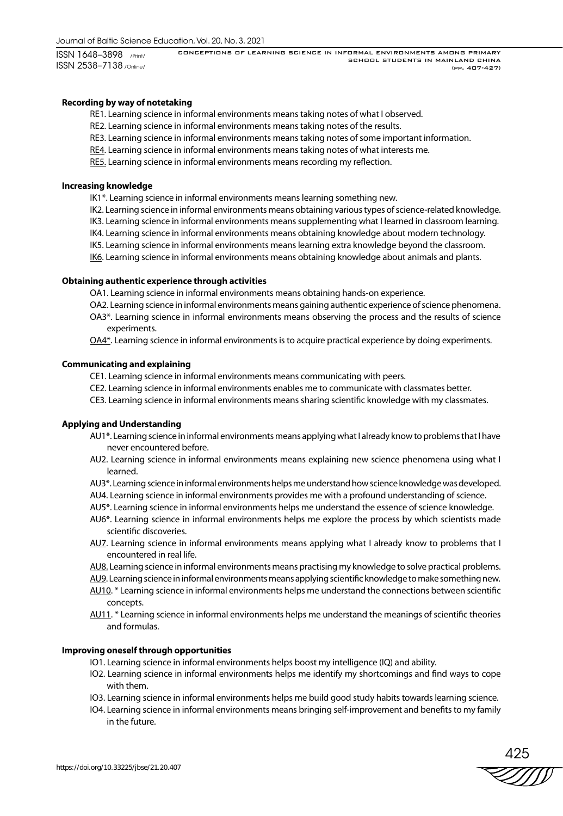CONCEPTIONS OF LEARNING SCIENCE IN INFORMAL ENVIRONMENTS AMONG PRIMARY SCHOOL STUDENTS IN MAINLAND CHINA (pp. 407-427)

# **Recording by way of notetaking**

RE1. Learning science in informal environments means taking notes of what I observed.

- RE2. Learning science in informal environments means taking notes of the results.
- RE3. Learning science in informal environments means taking notes of some important information.
- RE4. Learning science in informal environments means taking notes of what interests me.
- RE5. Learning science in informal environments means recording my reflection.

# **Increasing knowledge**

IK1\*. Learning science in informal environments means learning something new.

- IK2. Learning science in informal environments means obtaining various types of science-related knowledge.
- IK3. Learning science in informal environments means supplementing what I learned in classroom learning.
- IK4. Learning science in informal environments means obtaining knowledge about modern technology.
- IK5. Learning science in informal environments means learning extra knowledge beyond the classroom.
- IK6. Learning science in informal environments means obtaining knowledge about animals and plants.

# **Obtaining authentic experience through activities**

OA1. Learning science in informal environments means obtaining hands-on experience.

- OA2. Learning science in informal environments means gaining authentic experience of science phenomena.
- OA3\*. Learning science in informal environments means observing the process and the results of science experiments.

OA4\*. Learning science in informal environments is to acquire practical experience by doing experiments.

# **Communicating and explaining**

- CE1. Learning science in informal environments means communicating with peers.
- CE2. Learning science in informal environments enables me to communicate with classmates better.
- CE3. Learning science in informal environments means sharing scientific knowledge with my classmates.

# **Applying and Understanding**

- AU1\*. Learning science in informal environments means applying what I already know to problems that I have never encountered before.
- AU2. Learning science in informal environments means explaining new science phenomena using what I learned.
- AU3\*. Learning science in informal environments helps me understand how science knowledge was developed.
- AU4. Learning science in informal environments provides me with a profound understanding of science.
- AU5\*. Learning science in informal environments helps me understand the essence of science knowledge.
- AU6\*. Learning science in informal environments helps me explore the process by which scientists made scientific discoveries.
- AU7. Learning science in informal environments means applying what I already know to problems that I encountered in real life.
- AU8. Learning science in informal environments means practising my knowledge to solve practical problems.
- AU9. Learning science in informal environments means applying scientific knowledge to make something new.
- AU10. \* Learning science in informal environments helps me understand the connections between scientific concepts.
- AU11. \* Learning science in informal environments helps me understand the meanings of scientific theories and formulas.

# **Improving oneself through opportunities**

- IO1. Learning science in informal environments helps boost my intelligence (IQ) and ability.
- IO2. Learning science in informal environments helps me identify my shortcomings and find ways to cope with them.
- IO3. Learning science in informal environments helps me build good study habits towards learning science.
- IO4. Learning science in informal environments means bringing self-improvement and benefits to my family in the future.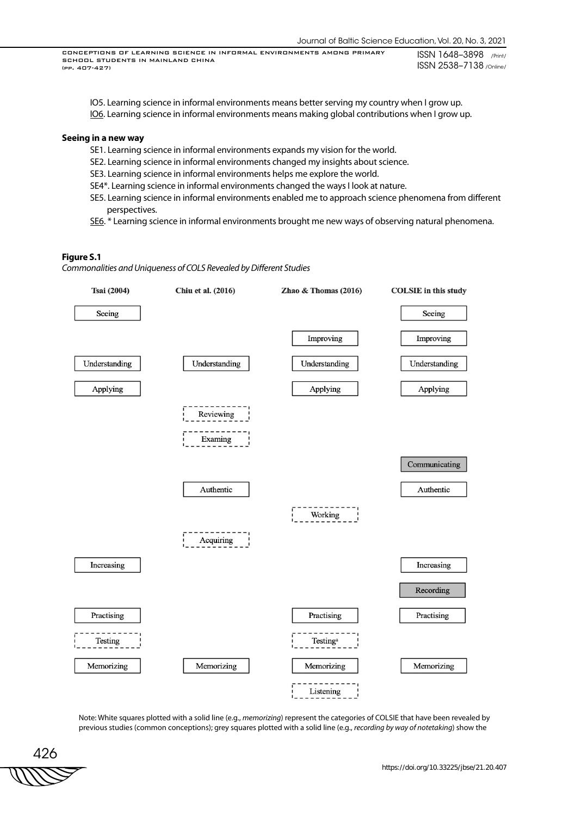- IO5. Learning science in informal environments means better serving my country when I grow up.
- IO6. Learning science in informal environments means making global contributions when I grow up.

#### **Seeing in a new way**

- SE1. Learning science in informal environments expands my vision for the world.
- SE2. Learning science in informal environments changed my insights about science.
- SE3. Learning science in informal environments helps me explore the world.
- SE4\*. Learning science in informal environments changed the ways I look at nature.
- SE5. Learning science in informal environments enabled me to approach science phenomena from different perspectives.
- SE6. \* Learning science in informal environments brought me new ways of observing natural phenomena.

## **Figure S.1**

*Commonalities and Uniqueness of COLS Revealed by Different Studies*



Note: White squares plotted with a solid line (e.g., *memorizing*) represent the categories of COLSIE that have been revealed by previous studies (common conceptions); grey squares plotted with a solid line (e.g., *recording by way of notetaking*) show the